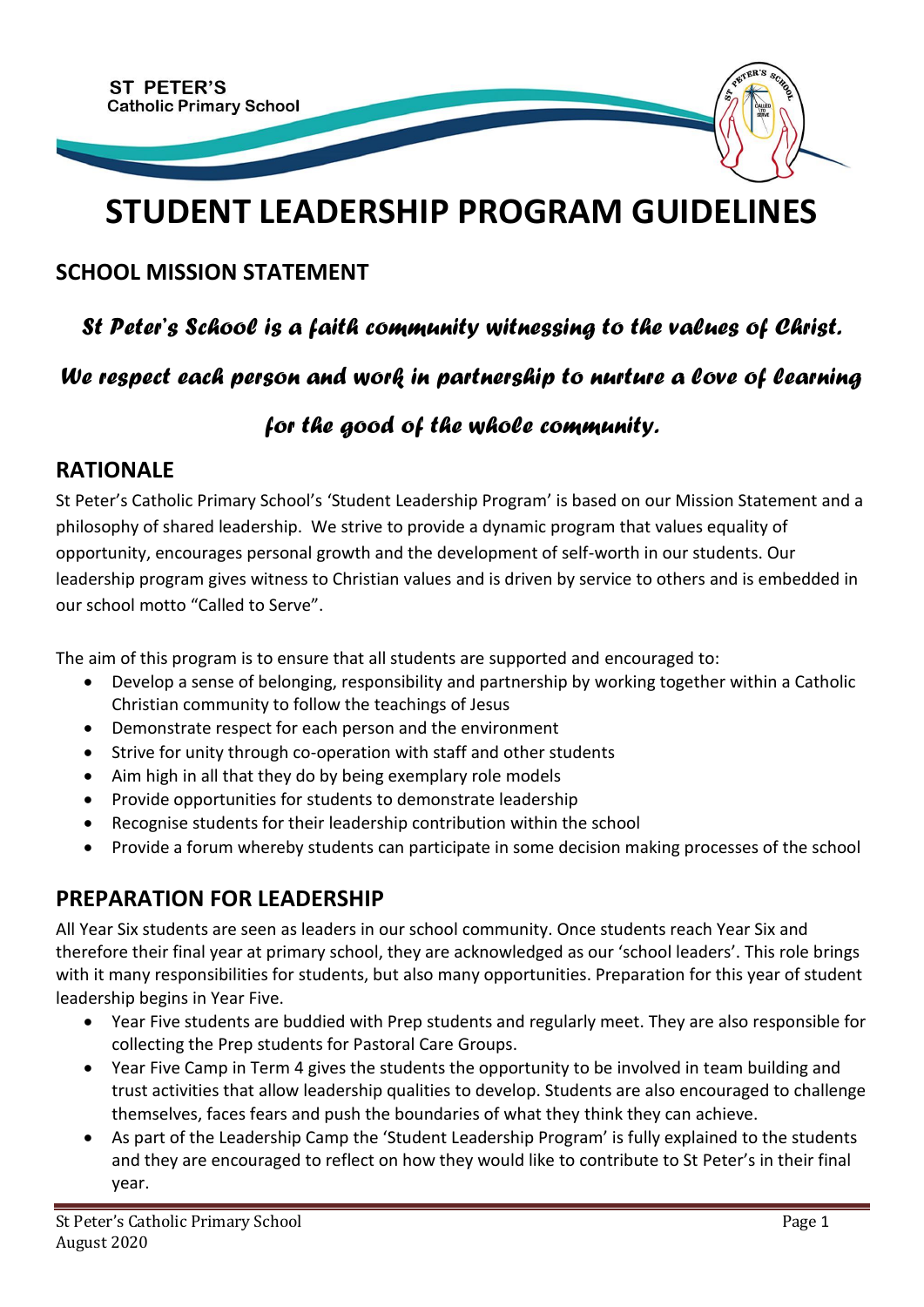

# **STUDENT LEADERSHIP PROGRAM GUIDELINES**

#### **SCHOOL MISSION STATEMENT**

### *St Peter's School is a faith community witnessing to the values of Christ.*

#### *We respect each person and work in partnership to nurture a love of learning*

#### *for the good of the whole community.*

#### **RATIONALE**

St Peter's Catholic Primary School's 'Student Leadership Program' is based on our Mission Statement and a philosophy of shared leadership. We strive to provide a dynamic program that values equality of opportunity, encourages personal growth and the development of self-worth in our students. Our leadership program gives witness to Christian values and is driven by service to others and is embedded in our school motto "Called to Serve".

The aim of this program is to ensure that all students are supported and encouraged to:

- Develop a sense of belonging, responsibility and partnership by working together within a Catholic Christian community to follow the teachings of Jesus
- Demonstrate respect for each person and the environment
- Strive for unity through co-operation with staff and other students
- Aim high in all that they do by being exemplary role models
- Provide opportunities for students to demonstrate leadership
- Recognise students for their leadership contribution within the school
- Provide a forum whereby students can participate in some decision making processes of the school

#### **PREPARATION FOR LEADERSHIP**

All Year Six students are seen as leaders in our school community. Once students reach Year Six and therefore their final year at primary school, they are acknowledged as our 'school leaders'. This role brings with it many responsibilities for students, but also many opportunities. Preparation for this year of student leadership begins in Year Five.

- Year Five students are buddied with Prep students and regularly meet. They are also responsible for collecting the Prep students for Pastoral Care Groups.
- Year Five Camp in Term 4 gives the students the opportunity to be involved in team building and trust activities that allow leadership qualities to develop. Students are also encouraged to challenge themselves, faces fears and push the boundaries of what they think they can achieve.
- As part of the Leadership Camp the 'Student Leadership Program' is fully explained to the students and they are encouraged to reflect on how they would like to contribute to St Peter's in their final year.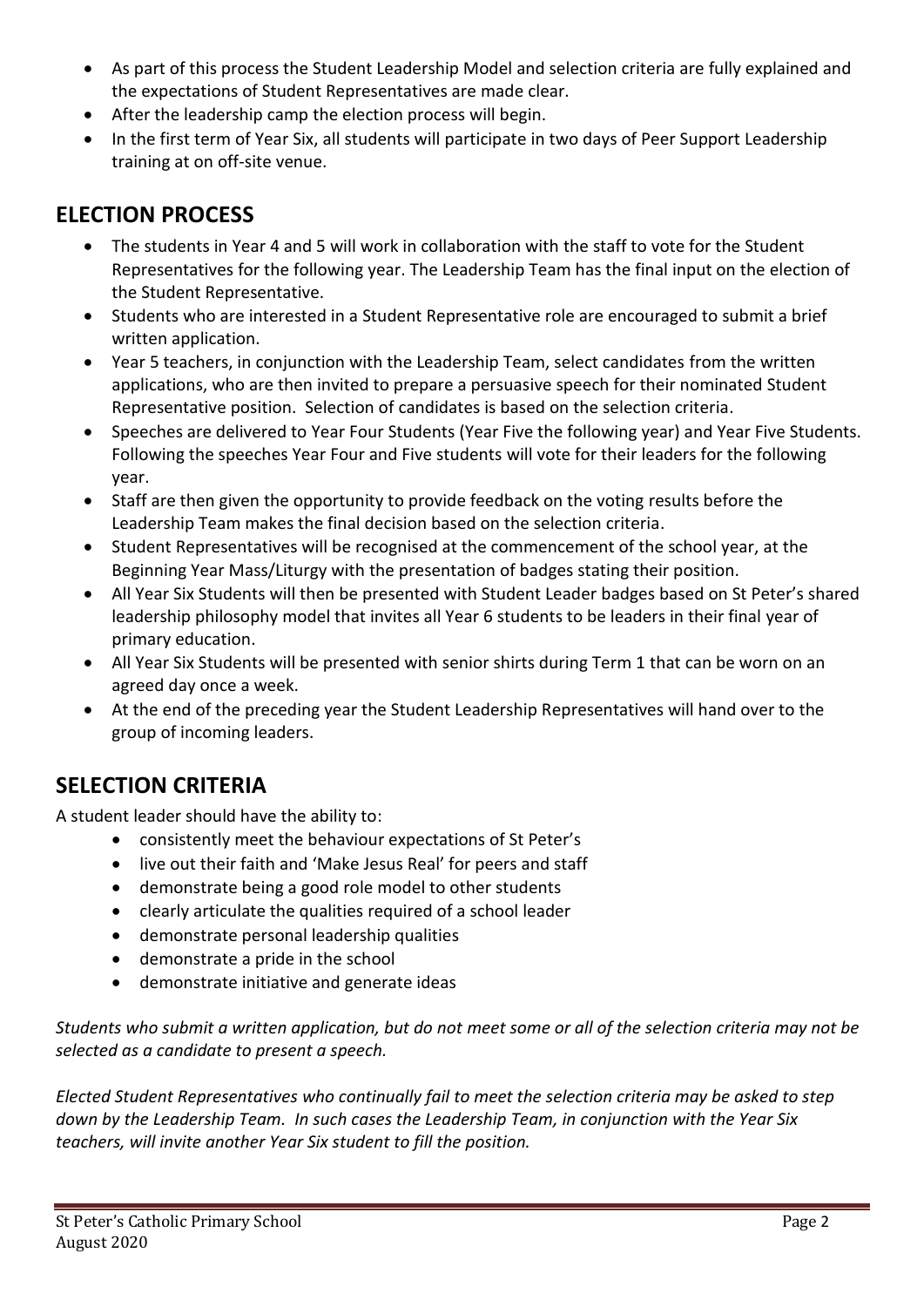- As part of this process the Student Leadership Model and selection criteria are fully explained and the expectations of Student Representatives are made clear.
- After the leadership camp the election process will begin.
- In the first term of Year Six, all students will participate in two days of Peer Support Leadership training at on off-site venue.

### **ELECTION PROCESS**

- The students in Year 4 and 5 will work in collaboration with the staff to vote for the Student Representatives for the following year. The Leadership Team has the final input on the election of the Student Representative.
- Students who are interested in a Student Representative role are encouraged to submit a brief written application.
- Year 5 teachers, in conjunction with the Leadership Team, select candidates from the written applications, who are then invited to prepare a persuasive speech for their nominated Student Representative position. Selection of candidates is based on the selection criteria.
- Speeches are delivered to Year Four Students (Year Five the following year) and Year Five Students. Following the speeches Year Four and Five students will vote for their leaders for the following year.
- Staff are then given the opportunity to provide feedback on the voting results before the Leadership Team makes the final decision based on the selection criteria.
- Student Representatives will be recognised at the commencement of the school year, at the Beginning Year Mass/Liturgy with the presentation of badges stating their position.
- All Year Six Students will then be presented with Student Leader badges based on St Peter's shared leadership philosophy model that invites all Year 6 students to be leaders in their final year of primary education.
- All Year Six Students will be presented with senior shirts during Term 1 that can be worn on an agreed day once a week.
- At the end of the preceding year the Student Leadership Representatives will hand over to the group of incoming leaders.

## **SELECTION CRITERIA**

A student leader should have the ability to:

- consistently meet the behaviour expectations of St Peter's
- live out their faith and 'Make Jesus Real' for peers and staff
- demonstrate being a good role model to other students
- clearly articulate the qualities required of a school leader
- demonstrate personal leadership qualities
- demonstrate a pride in the school
- demonstrate initiative and generate ideas

*Students who submit a written application, but do not meet some or all of the selection criteria may not be selected as a candidate to present a speech.*

*Elected Student Representatives who continually fail to meet the selection criteria may be asked to step down by the Leadership Team. In such cases the Leadership Team, in conjunction with the Year Six teachers, will invite another Year Six student to fill the position.*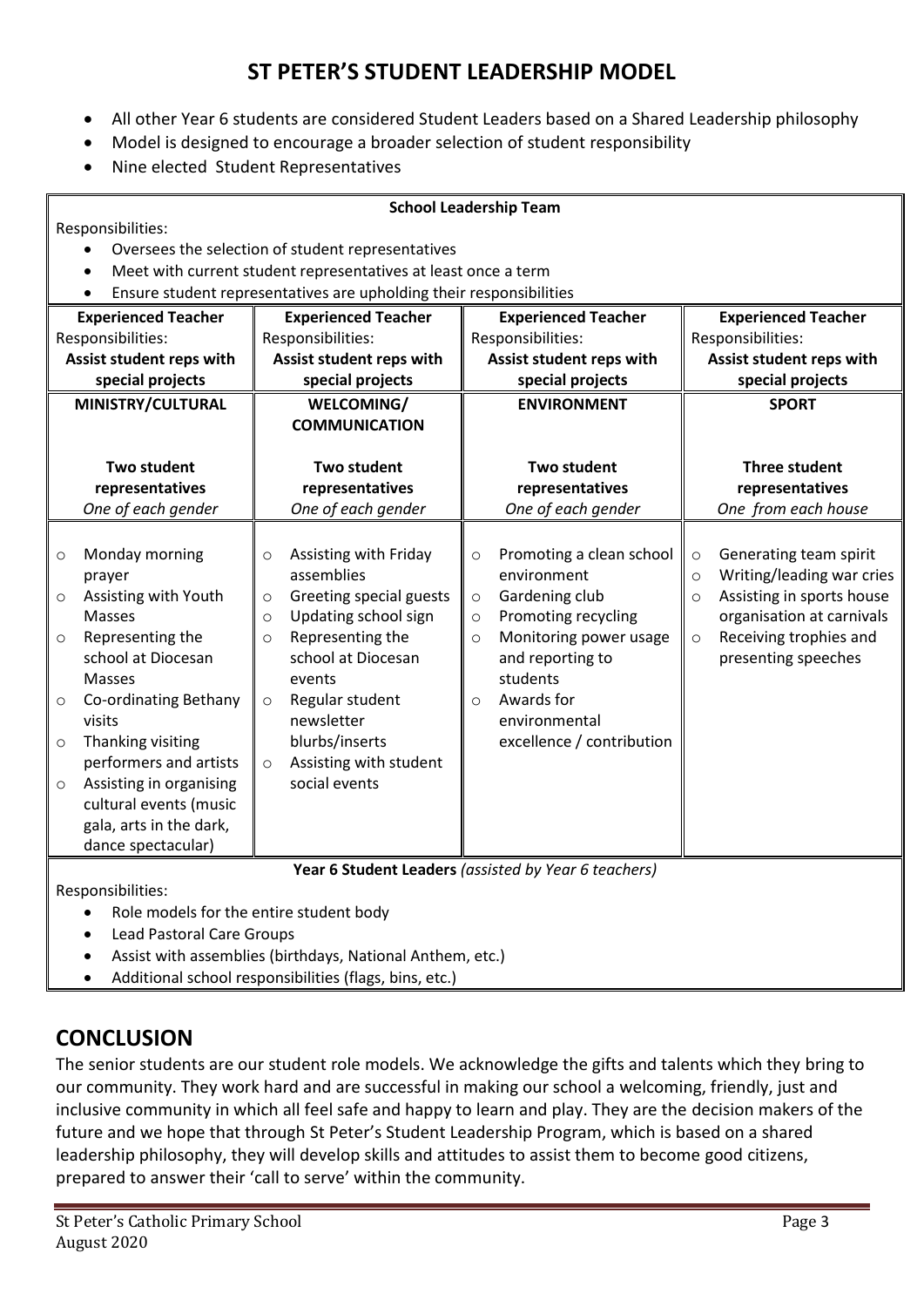#### **ST PETER'S STUDENT LEADERSHIP MODEL**

- All other Year 6 students are considered Student Leaders based on a Shared Leadership philosophy
- Model is designed to encourage a broader selection of student responsibility
- Nine elected Student Representatives

| <b>School Leadership Team</b>                                                    |                                                                                                                                                                                                                                                                                                               |                                                                |                                                                                                                                                                                                                                          |                                                     |                                                                                                                                                                                                        |                                          |                                                                                                                                                                |  |  |  |
|----------------------------------------------------------------------------------|---------------------------------------------------------------------------------------------------------------------------------------------------------------------------------------------------------------------------------------------------------------------------------------------------------------|----------------------------------------------------------------|------------------------------------------------------------------------------------------------------------------------------------------------------------------------------------------------------------------------------------------|-----------------------------------------------------|--------------------------------------------------------------------------------------------------------------------------------------------------------------------------------------------------------|------------------------------------------|----------------------------------------------------------------------------------------------------------------------------------------------------------------|--|--|--|
| Responsibilities:                                                                |                                                                                                                                                                                                                                                                                                               |                                                                |                                                                                                                                                                                                                                          |                                                     |                                                                                                                                                                                                        |                                          |                                                                                                                                                                |  |  |  |
| Oversees the selection of student representatives<br>$\bullet$                   |                                                                                                                                                                                                                                                                                                               |                                                                |                                                                                                                                                                                                                                          |                                                     |                                                                                                                                                                                                        |                                          |                                                                                                                                                                |  |  |  |
| Meet with current student representatives at least once a term<br>$\bullet$      |                                                                                                                                                                                                                                                                                                               |                                                                |                                                                                                                                                                                                                                          |                                                     |                                                                                                                                                                                                        |                                          |                                                                                                                                                                |  |  |  |
| Ensure student representatives are upholding their responsibilities<br>$\bullet$ |                                                                                                                                                                                                                                                                                                               |                                                                |                                                                                                                                                                                                                                          |                                                     |                                                                                                                                                                                                        |                                          |                                                                                                                                                                |  |  |  |
| <b>Experienced Teacher</b>                                                       |                                                                                                                                                                                                                                                                                                               | <b>Experienced Teacher</b>                                     |                                                                                                                                                                                                                                          | <b>Experienced Teacher</b>                          |                                                                                                                                                                                                        | <b>Experienced Teacher</b>               |                                                                                                                                                                |  |  |  |
| Responsibilities:                                                                |                                                                                                                                                                                                                                                                                                               | Responsibilities:                                              |                                                                                                                                                                                                                                          |                                                     | Responsibilities:                                                                                                                                                                                      |                                          | Responsibilities:                                                                                                                                              |  |  |  |
| Assist student reps with                                                         |                                                                                                                                                                                                                                                                                                               | Assist student reps with                                       |                                                                                                                                                                                                                                          |                                                     | Assist student reps with                                                                                                                                                                               |                                          | Assist student reps with                                                                                                                                       |  |  |  |
| special projects                                                                 |                                                                                                                                                                                                                                                                                                               | special projects                                               |                                                                                                                                                                                                                                          | special projects                                    |                                                                                                                                                                                                        | special projects                         |                                                                                                                                                                |  |  |  |
| MINISTRY/CULTURAL                                                                |                                                                                                                                                                                                                                                                                                               | WELCOMING/                                                     |                                                                                                                                                                                                                                          | <b>ENVIRONMENT</b>                                  |                                                                                                                                                                                                        | <b>SPORT</b>                             |                                                                                                                                                                |  |  |  |
|                                                                                  |                                                                                                                                                                                                                                                                                                               | <b>COMMUNICATION</b>                                           |                                                                                                                                                                                                                                          |                                                     |                                                                                                                                                                                                        |                                          |                                                                                                                                                                |  |  |  |
|                                                                                  |                                                                                                                                                                                                                                                                                                               |                                                                |                                                                                                                                                                                                                                          |                                                     |                                                                                                                                                                                                        |                                          |                                                                                                                                                                |  |  |  |
| <b>Two student</b>                                                               |                                                                                                                                                                                                                                                                                                               | <b>Two student</b>                                             |                                                                                                                                                                                                                                          |                                                     | <b>Two student</b>                                                                                                                                                                                     |                                          | <b>Three student</b>                                                                                                                                           |  |  |  |
| representatives                                                                  |                                                                                                                                                                                                                                                                                                               | representatives                                                |                                                                                                                                                                                                                                          | representatives                                     |                                                                                                                                                                                                        | representatives                          |                                                                                                                                                                |  |  |  |
|                                                                                  | One of each gender                                                                                                                                                                                                                                                                                            |                                                                | One of each gender                                                                                                                                                                                                                       |                                                     | One of each gender                                                                                                                                                                                     |                                          | One from each house                                                                                                                                            |  |  |  |
| $\circ$<br>$\circ$<br>$\circ$<br>$\circ$<br>$\circ$<br>$\circ$                   | Monday morning<br>prayer<br>Assisting with Youth<br>Masses<br>Representing the<br>school at Diocesan<br><b>Masses</b><br>Co-ordinating Bethany<br>visits<br>Thanking visiting<br>performers and artists<br>Assisting in organising<br>cultural events (music<br>gala, arts in the dark,<br>dance spectacular) | $\circ$<br>$\circ$<br>$\circ$<br>$\circ$<br>$\circ$<br>$\circ$ | Assisting with Friday<br>assemblies<br>Greeting special guests<br>Updating school sign<br>Representing the<br>school at Diocesan<br>events<br>Regular student<br>newsletter<br>blurbs/inserts<br>Assisting with student<br>social events | $\circ$<br>$\circ$<br>$\circ$<br>$\circ$<br>$\circ$ | Promoting a clean school<br>environment<br>Gardening club<br>Promoting recycling<br>Monitoring power usage<br>and reporting to<br>students<br>Awards for<br>environmental<br>excellence / contribution | $\circ$<br>$\circ$<br>$\circ$<br>$\circ$ | Generating team spirit<br>Writing/leading war cries<br>Assisting in sports house<br>organisation at carnivals<br>Receiving trophies and<br>presenting speeches |  |  |  |
|                                                                                  | Year 6 Student Leaders (assisted by Year 6 teachers)                                                                                                                                                                                                                                                          |                                                                |                                                                                                                                                                                                                                          |                                                     |                                                                                                                                                                                                        |                                          |                                                                                                                                                                |  |  |  |

Responsibilities:

- Role models for the entire student body
- Lead Pastoral Care Groups
- Assist with assemblies (birthdays, National Anthem, etc.)
- Additional school responsibilities (flags, bins, etc.)

#### **CONCLUSION**

The senior students are our student role models. We acknowledge the gifts and talents which they bring to our community. They work hard and are successful in making our school a welcoming, friendly, just and inclusive community in which all feel safe and happy to learn and play. They are the decision makers of the future and we hope that through St Peter's Student Leadership Program, which is based on a shared leadership philosophy, they will develop skills and attitudes to assist them to become good citizens, prepared to answer their 'call to serve' within the community.